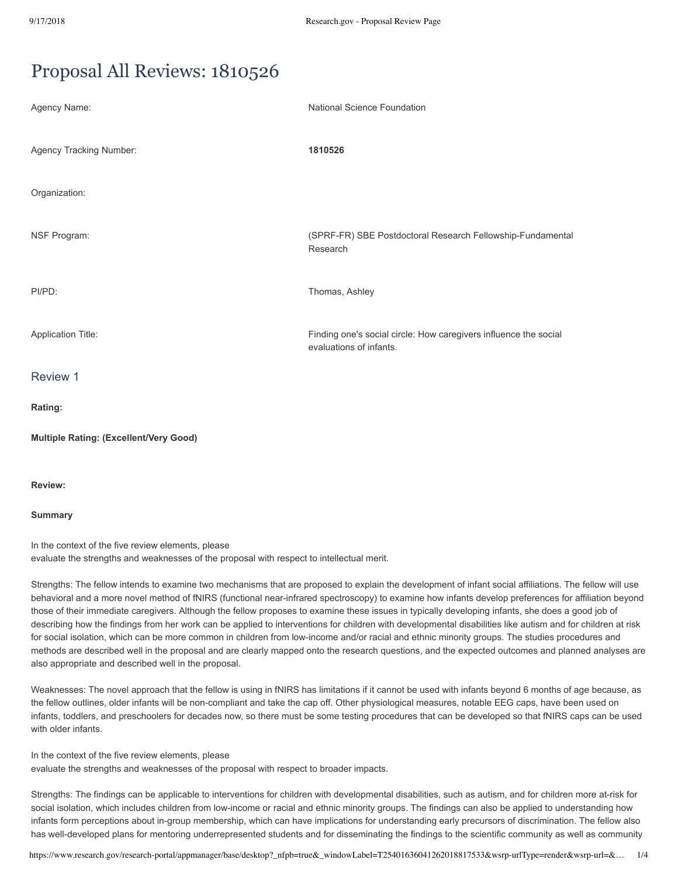# Proposal All Reviews: 1810526

| Agency Name:                                  | <b>National Science Foundation</b>                                                          |
|-----------------------------------------------|---------------------------------------------------------------------------------------------|
| Agency Tracking Number:                       | 1810526                                                                                     |
| Organization:                                 |                                                                                             |
| NSF Program:                                  | (SPRF-FR) SBE Postdoctoral Research Fellowship-Fundamental<br>Research                      |
| PI/PD:                                        | Thomas, Ashley                                                                              |
| <b>Application Title:</b>                     | Finding one's social circle: How caregivers influence the social<br>evaluations of infants. |
| Review 1                                      |                                                                                             |
| Rating:                                       |                                                                                             |
| <b>Multiple Rating: (Excellent/Very Good)</b> |                                                                                             |

**Review:**

# **Summary**

In the context of the five review elements, please evaluate the strengths and weaknesses of the proposal with respect to intellectual merit.

Strengths: The fellow intends to examine two mechanisms that are proposed to explain the development of infant social affiliations. The fellow will use behavioral and a more novel method of fNIRS (functional near-infrared spectroscopy) to examine how infants develop preferences for affiliation beyond those of their immediate caregivers. Although the fellow proposes to examine these issues in typically developing infants, she does a good job of describing how the findings from her work can be applied to interventions for children with developmental disabilities like autism and for children at risk for social isolation, which can be more common in children from low-income and/or racial and ethnic minority groups. The studies procedures and methods are described well in the proposal and are clearly mapped onto the research questions, and the expected outcomes and planned analyses are also appropriate and described well in the proposal.

Weaknesses: The novel approach that the fellow is using in fNIRS has limitations if it cannot be used with infants beyond 6 months of age because, as the fellow outlines, older infants will be non-compliant and take the cap off. Other physiological measures, notable EEG caps, have been used on infants, toddlers, and preschoolers for decades now, so there must be some testing procedures that can be developed so that fNIRS caps can be used with older infants.

In the context of the five review elements, please evaluate the strengths and weaknesses of the proposal with respect to broader impacts.

Strengths: The findings can be applicable to interventions for children with developmental disabilities, such as autism, and for children more at-risk for social isolation, which includes children from low-income or racial and ethnic minority groups. The findings can also be applied to understanding how infants form perceptions about in-group membership, which can have implications for understanding early precursors of discrimination. The fellow also has well-developed plans for mentoring underrepresented students and for disseminating the findings to the scientific community as well as community

https://www.research.gov/research-portal/appmanager/base/desktop?\_nfpb=true&\_windowLabel=T25401636041262018817533&wsrp-urlType=render&wsrp-url=&… 1/4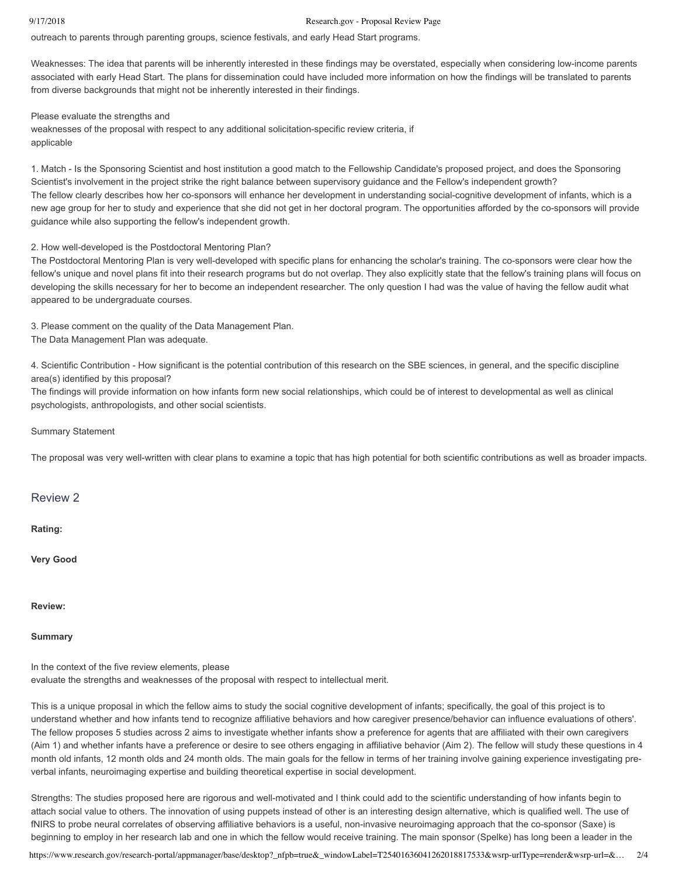## 9/17/2018 Research.gov - Proposal Review Page

outreach to parents through parenting groups, science festivals, and early Head Start programs.

Weaknesses: The idea that parents will be inherently interested in these findings may be overstated, especially when considering low-income parents associated with early Head Start. The plans for dissemination could have included more information on how the findings will be translated to parents from diverse backgrounds that might not be inherently interested in their findings.

Please evaluate the strengths and

weaknesses of the proposal with respect to any additional solicitation-specific review criteria, if applicable

1. Match Is the Sponsoring Scientist and host institution a good match to the Fellowship Candidate's proposed project, and does the Sponsoring Scientist's involvement in the project strike the right balance between supervisory guidance and the Fellow's independent growth? The fellow clearly describes how her co-sponsors will enhance her development in understanding social-cognitive development of infants, which is a new age group for her to study and experience that she did not get in her doctoral program. The opportunities afforded by the cosponsors will provide guidance while also supporting the fellow's independent growth.

# 2. How well-developed is the Postdoctoral Mentoring Plan?

The Postdoctoral Mentoring Plan is very well-developed with specific plans for enhancing the scholar's training. The co-sponsors were clear how the fellow's unique and novel plans fit into their research programs but do not overlap. They also explicitly state that the fellow's training plans will focus on developing the skills necessary for her to become an independent researcher. The only question I had was the value of having the fellow audit what appeared to be undergraduate courses.

3. Please comment on the quality of the Data Management Plan. The Data Management Plan was adequate.

4. Scientific Contribution - How significant is the potential contribution of this research on the SBE sciences, in general, and the specific discipline area(s) identified by this proposal?

The findings will provide information on how infants form new social relationships, which could be of interest to developmental as well as clinical psychologists, anthropologists, and other social scientists.

Summary Statement

The proposal was very well-written with clear plans to examine a topic that has high potential for both scientific contributions as well as broader impacts.

# Review 2

**Rating:**

**Very Good**

**Review:**

**Summary**

In the context of the five review elements, please

evaluate the strengths and weaknesses of the proposal with respect to intellectual merit.

This is a unique proposal in which the fellow aims to study the social cognitive development of infants; specifically, the goal of this project is to understand whether and how infants tend to recognize affiliative behaviors and how caregiver presence/behavior can influence evaluations of others'. The fellow proposes 5 studies across 2 aims to investigate whether infants show a preference for agents that are affiliated with their own caregivers (Aim 1) and whether infants have a preference or desire to see others engaging in affiliative behavior (Aim 2). The fellow will study these questions in 4 month old infants, 12 month olds and 24 month olds. The main goals for the fellow in terms of her training involve gaining experience investigating preverbal infants, neuroimaging expertise and building theoretical expertise in social development.

Strengths: The studies proposed here are rigorous and well-motivated and I think could add to the scientific understanding of how infants begin to attach social value to others. The innovation of using puppets instead of other is an interesting design alternative, which is qualified well. The use of fNIRS to probe neural correlates of observing affiliative behaviors is a useful, non-invasive neuroimaging approach that the co-sponsor (Saxe) is beginning to employ in her research lab and one in which the fellow would receive training. The main sponsor (Spelke) has long been a leader in the

https://www.research.gov/research-portal/appmanager/base/desktop?\_nfpb=true&\_windowLabel=T25401636041262018817533&wsrp-urlType=render&wsrp-url=&… 2/4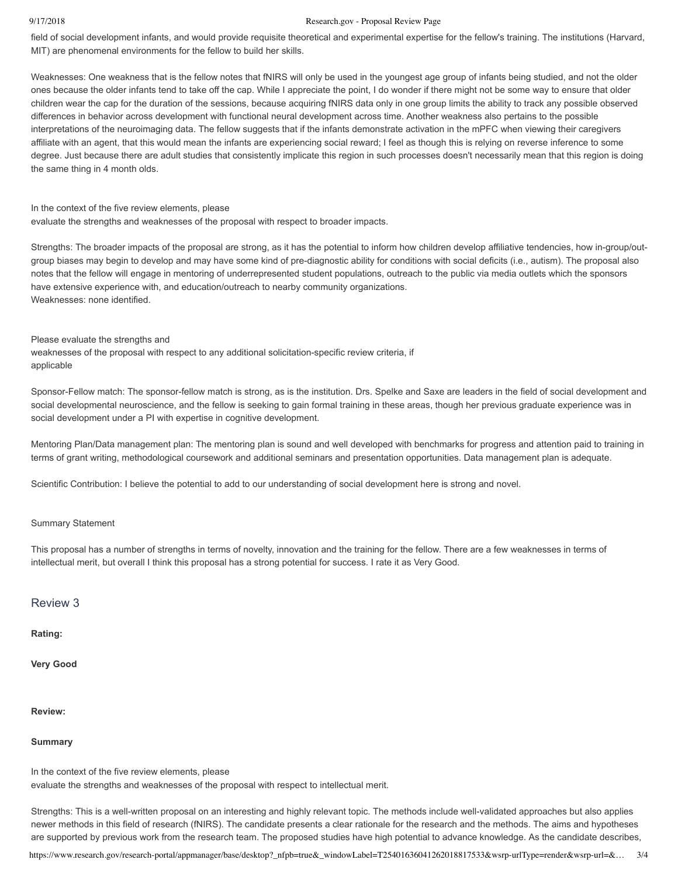#### 9/17/2018 Research.gov - Proposal Review Page

field of social development infants, and would provide requisite theoretical and experimental expertise for the fellow's training. The institutions (Harvard, MIT) are phenomenal environments for the fellow to build her skills.

Weaknesses: One weakness that is the fellow notes that fNIRS will only be used in the youngest age group of infants being studied, and not the older ones because the older infants tend to take off the cap. While I appreciate the point, I do wonder if there might not be some way to ensure that older children wear the cap for the duration of the sessions, because acquiring fNIRS data only in one group limits the ability to track any possible observed differences in behavior across development with functional neural development across time. Another weakness also pertains to the possible interpretations of the neuroimaging data. The fellow suggests that if the infants demonstrate activation in the mPFC when viewing their caregivers affiliate with an agent, that this would mean the infants are experiencing social reward; I feel as though this is relying on reverse inference to some degree. Just because there are adult studies that consistently implicate this region in such processes doesn't necessarily mean that this region is doing the same thing in 4 month olds.

## In the context of the five review elements, please

evaluate the strengths and weaknesses of the proposal with respect to broader impacts.

Strengths: The broader impacts of the proposal are strong, as it has the potential to inform how children develop affiliative tendencies, how in-group/outgroup biases may begin to develop and may have some kind of pre-diagnostic ability for conditions with social deficits (i.e., autism). The proposal also notes that the fellow will engage in mentoring of underrepresented student populations, outreach to the public via media outlets which the sponsors have extensive experience with, and education/outreach to nearby community organizations. Weaknesses: none identified.

## Please evaluate the strengths and

weaknesses of the proposal with respect to any additional solicitation-specific review criteria, if applicable

Sponsor-Fellow match: The sponsor-fellow match is strong, as is the institution. Drs. Spelke and Saxe are leaders in the field of social development and social developmental neuroscience, and the fellow is seeking to gain formal training in these areas, though her previous graduate experience was in social development under a PI with expertise in cognitive development.

Mentoring Plan/Data management plan: The mentoring plan is sound and well developed with benchmarks for progress and attention paid to training in terms of grant writing, methodological coursework and additional seminars and presentation opportunities. Data management plan is adequate.

Scientific Contribution: I believe the potential to add to our understanding of social development here is strong and novel.

# Summary Statement

This proposal has a number of strengths in terms of novelty, innovation and the training for the fellow. There are a few weaknesses in terms of intellectual merit, but overall I think this proposal has a strong potential for success. I rate it as Very Good.

# Review 3

## **Rating:**

**Very Good**

# **Review:**

# **Summary**

In the context of the five review elements, please

evaluate the strengths and weaknesses of the proposal with respect to intellectual merit.

Strengths: This is a well-written proposal on an interesting and highly relevant topic. The methods include well-validated approaches but also applies newer methods in this field of research (fNIRS). The candidate presents a clear rationale for the research and the methods. The aims and hypotheses are supported by previous work from the research team. The proposed studies have high potential to advance knowledge. As the candidate describes,

https://www.research.gov/research-portal/appmanager/base/desktop?\_nfpb=true&\_windowLabel=T25401636041262018817533&wsrp-urlType=render&wsrp-url=&… 3/4